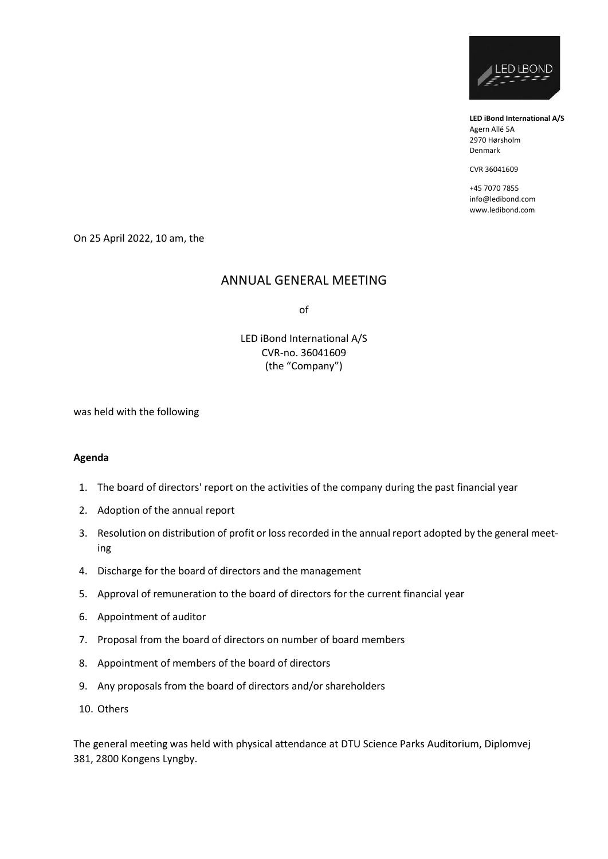

**LED iBond International A/S** Agern Allé 5A 2970 Hørsholm Denmark

CVR 36041609

+45 7070 7855 info@ledibond.com www.ledibond.com

On 25 April 2022, 10 am, the

## ANNUAL GENERAL MEETING

of

LED iBond International A/S CVR-no. 36041609 (the "Company")

was held with the following

#### **Agenda**

- 1. The board of directors' report on the activities of the company during the past financial year
- 2. Adoption of the annual report
- 3. Resolution on distribution of profit or loss recorded in the annual report adopted by the general meeting
- 4. Discharge for the board of directors and the management
- 5. Approval of remuneration to the board of directors for the current financial year
- 6. Appointment of auditor
- 7. Proposal from the board of directors on number of board members
- 8. Appointment of members of the board of directors
- 9. Any proposals from the board of directors and/or shareholders
- 10. Others

The general meeting was held with physical attendance at DTU Science Parks Auditorium, Diplomvej 381, 2800 Kongens Lyngby.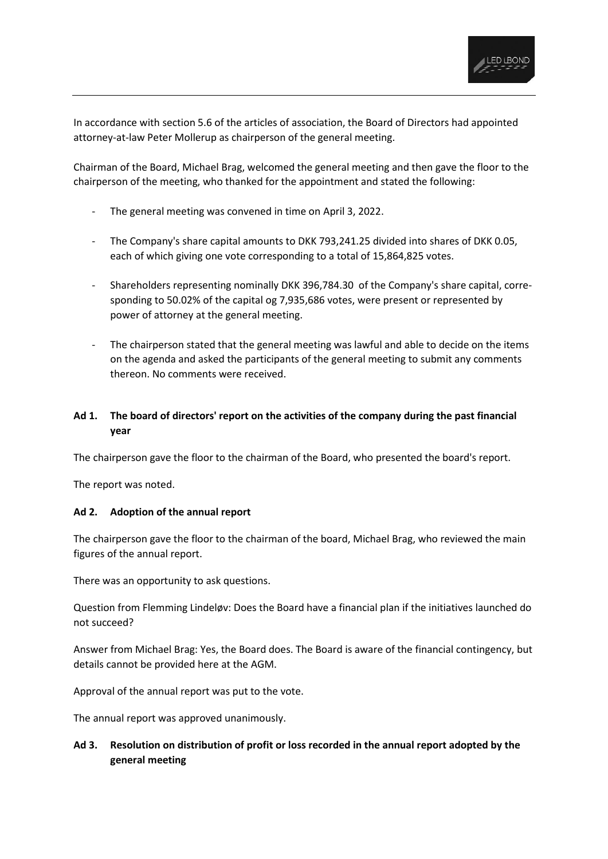

In accordance with section 5.6 of the articles of association, the Board of Directors had appointed attorney-at-law Peter Mollerup as chairperson of the general meeting.

Chairman of the Board, Michael Brag, welcomed the general meeting and then gave the floor to the chairperson of the meeting, who thanked for the appointment and stated the following:

- The general meeting was convened in time on April 3, 2022.
- The Company's share capital amounts to DKK 793,241.25 divided into shares of DKK 0.05, each of which giving one vote corresponding to a total of 15,864,825 votes.
- Shareholders representing nominally DKK 396,784.30 of the Company's share capital, corresponding to 50.02% of the capital og 7,935,686 votes, were present or represented by power of attorney at the general meeting.
- The chairperson stated that the general meeting was lawful and able to decide on the items on the agenda and asked the participants of the general meeting to submit any comments thereon. No comments were received.

# **Ad 1. The board of directors' report on the activities of the company during the past financial year**

The chairperson gave the floor to the chairman of the Board, who presented the board's report.

The report was noted.

## **Ad 2. Adoption of the annual report**

The chairperson gave the floor to the chairman of the board, Michael Brag, who reviewed the main figures of the annual report.

There was an opportunity to ask questions.

Question from Flemming Lindeløv: Does the Board have a financial plan if the initiatives launched do not succeed?

Answer from Michael Brag: Yes, the Board does. The Board is aware of the financial contingency, but details cannot be provided here at the AGM.

Approval of the annual report was put to the vote.

The annual report was approved unanimously.

# **Ad 3. Resolution on distribution of profit or loss recorded in the annual report adopted by the general meeting**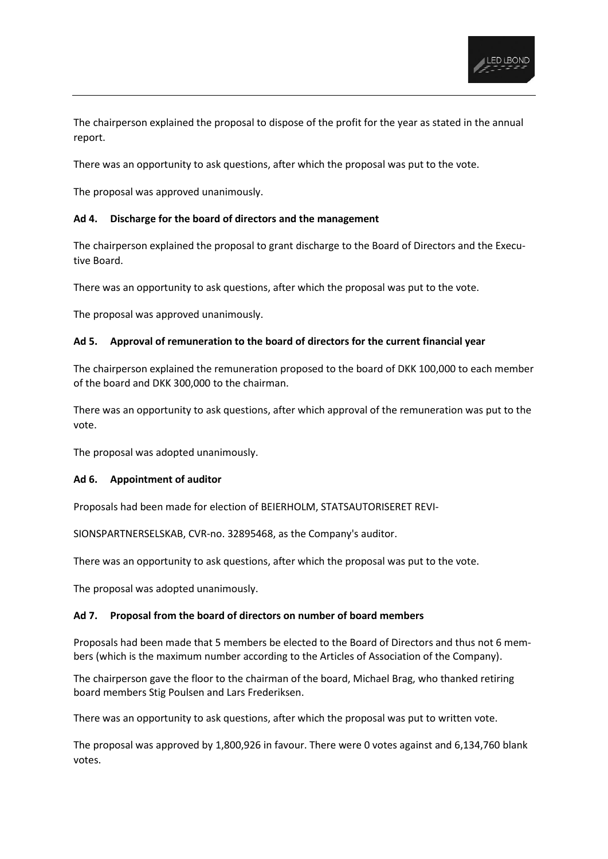

The chairperson explained the proposal to dispose of the profit for the year as stated in the annual report.

There was an opportunity to ask questions, after which the proposal was put to the vote.

The proposal was approved unanimously.

### **Ad 4. Discharge for the board of directors and the management**

The chairperson explained the proposal to grant discharge to the Board of Directors and the Executive Board.

There was an opportunity to ask questions, after which the proposal was put to the vote.

The proposal was approved unanimously.

### **Ad 5. Approval of remuneration to the board of directors for the current financial year**

The chairperson explained the remuneration proposed to the board of DKK 100,000 to each member of the board and DKK 300,000 to the chairman.

There was an opportunity to ask questions, after which approval of the remuneration was put to the vote.

The proposal was adopted unanimously.

### **Ad 6. Appointment of auditor**

Proposals had been made for election of BEIERHOLM, STATSAUTORISERET REVI-

SIONSPARTNERSELSKAB, CVR-no. 32895468, as the Company's auditor.

There was an opportunity to ask questions, after which the proposal was put to the vote.

The proposal was adopted unanimously.

### **Ad 7. Proposal from the board of directors on number of board members**

Proposals had been made that 5 members be elected to the Board of Directors and thus not 6 members (which is the maximum number according to the Articles of Association of the Company).

The chairperson gave the floor to the chairman of the board, Michael Brag, who thanked retiring board members Stig Poulsen and Lars Frederiksen.

There was an opportunity to ask questions, after which the proposal was put to written vote.

The proposal was approved by 1,800,926 in favour. There were 0 votes against and 6,134,760 blank votes.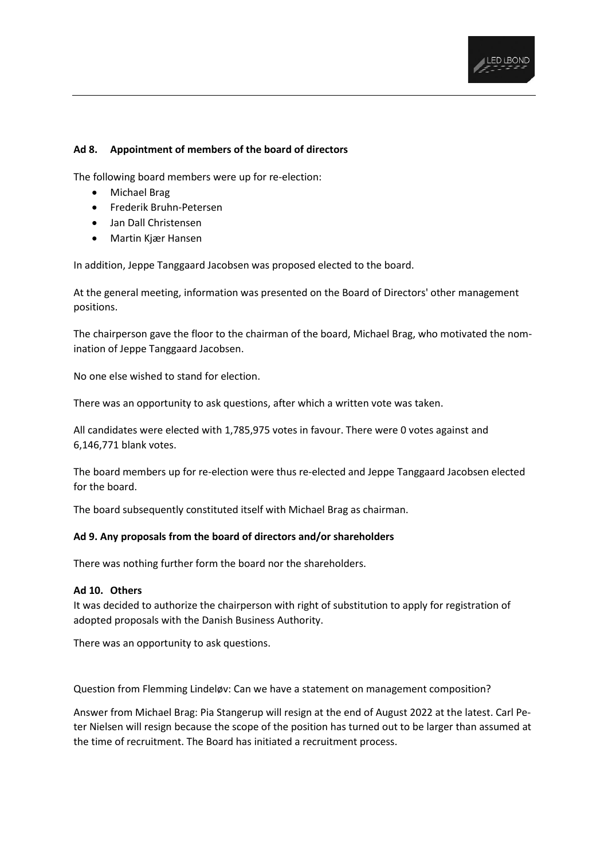

### **Ad 8. Appointment of members of the board of directors**

The following board members were up for re-election:

- Michael Brag
- Frederik Bruhn-Petersen
- Jan Dall Christensen
- Martin Kjær Hansen

In addition, Jeppe Tanggaard Jacobsen was proposed elected to the board.

At the general meeting, information was presented on the Board of Directors' other management positions.

The chairperson gave the floor to the chairman of the board, Michael Brag, who motivated the nomination of Jeppe Tanggaard Jacobsen.

No one else wished to stand for election.

There was an opportunity to ask questions, after which a written vote was taken.

All candidates were elected with 1,785,975 votes in favour. There were 0 votes against and 6,146,771 blank votes.

The board members up for re-election were thus re-elected and Jeppe Tanggaard Jacobsen elected for the board.

The board subsequently constituted itself with Michael Brag as chairman.

### **Ad 9. Any proposals from the board of directors and/or shareholders**

There was nothing further form the board nor the shareholders.

#### **Ad 10. Others**

It was decided to authorize the chairperson with right of substitution to apply for registration of adopted proposals with the Danish Business Authority.

There was an opportunity to ask questions.

Question from Flemming Lindeløv: Can we have a statement on management composition?

Answer from Michael Brag: Pia Stangerup will resign at the end of August 2022 at the latest. Carl Peter Nielsen will resign because the scope of the position has turned out to be larger than assumed at the time of recruitment. The Board has initiated a recruitment process.